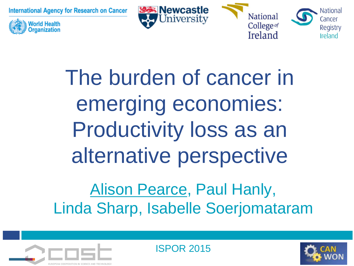**Vorld Health** 

rganization





The burden of cancer in emerging economies: Productivity loss as an alternative perspective

Alison Pearce, Paul Hanly, Linda Sharp, Isabelle Soerjomataram



ISPOR 2015

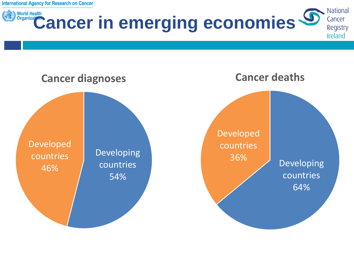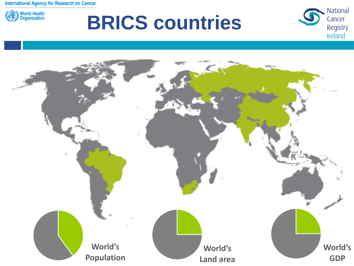

### **BRICS countries**



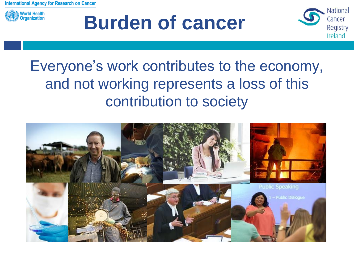

### **Burden of cancer**



### Everyone's work contributes to the economy, and not working represents a loss of this contribution to society

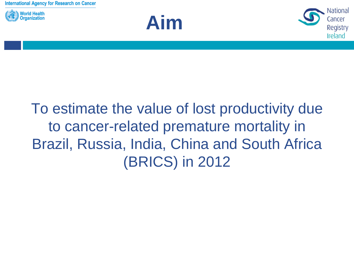





### To estimate the value of lost productivity due to cancer-related premature mortality in Brazil, Russia, India, China and South Africa (BRICS) in 2012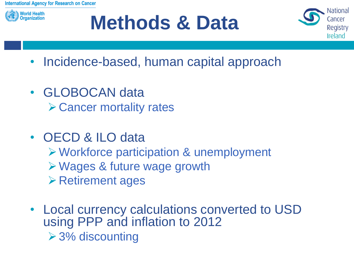

### **Methods & Data**



- Incidence-based, human capital approach
- GLOBOCAN data **≻ Cancer mortality rates**
- OECD & ILO data
	- Workforce participation & unemployment
	- Wages & future wage growth
	- $\triangleright$  Retirement ages
- Local currency calculations converted to USD using PPP and inflation to 2012 **▶ 3% discounting**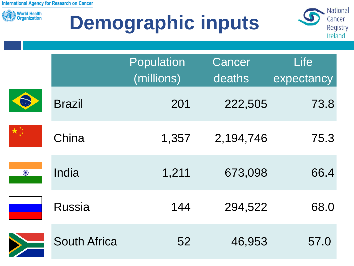

## **Demographic inputs**



|   |                     | Population<br>(millions) | Cancer<br>deaths | Life<br>expectancy |
|---|---------------------|--------------------------|------------------|--------------------|
|   | <b>Brazil</b>       | 201                      | 222,505          | 73.8               |
|   | China               | 1,357                    | 2,194,746        | 75.3               |
| O | India               | 1,211                    | 673,098          | 66.4               |
|   | <b>Russia</b>       | 144                      | 294,522          | 68.0               |
|   | <b>South Africa</b> | 52                       | 46,953           | 57.0               |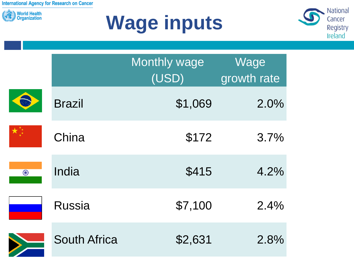





|   |                     | <b>Monthly wage</b><br>(USD) | Wage<br>growth rate |  |
|---|---------------------|------------------------------|---------------------|--|
|   | <b>Brazil</b>       | \$1,069                      | 2.0%                |  |
|   | China               | \$172                        | 3.7%                |  |
| O | India               | \$415                        | 4.2%                |  |
|   | <b>Russia</b>       | \$7,100                      | 2.4%                |  |
|   | <b>South Africa</b> | \$2,631                      | 2.8%                |  |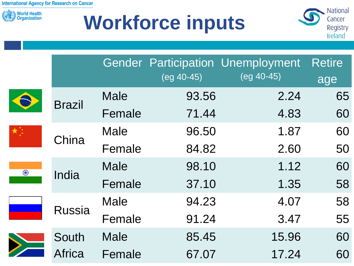

## **Workforce inputs**



|   |               |             | $(eg 40-45)$ | <b>Gender Participation Unemployment</b><br>$(eg 40-45)$ | <b>Retire</b><br>age |
|---|---------------|-------------|--------------|----------------------------------------------------------|----------------------|
|   | <b>Brazil</b> | <b>Male</b> | 93.56        | 2.24                                                     | 65                   |
|   |               | Female      | 71.44        | 4.83                                                     | 60                   |
|   | China         | <b>Male</b> | 96.50        | 1.87                                                     | 60                   |
|   |               | Female      | 84.82        | 2.60                                                     | 50                   |
| O | India         | <b>Male</b> | 98.10        | 1.12                                                     | 60                   |
|   |               | Female      | 37.10        | 1.35                                                     | 58                   |
|   | <b>Russia</b> | <b>Male</b> | 94.23        | 4.07                                                     | 58                   |
|   |               | Female      | 91.24        | 3.47                                                     | 55                   |
|   | South         | <b>Male</b> | 85.45        | 15.96                                                    | 60                   |
|   | <b>Africa</b> | Female      | 67.07        | 17.24                                                    | 60                   |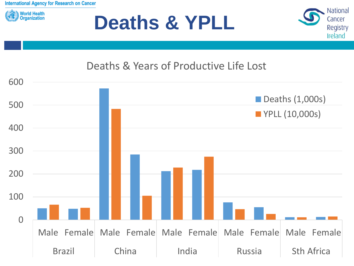

### **Deaths & YPLL**



#### Deaths & Years of Productive Life Lost

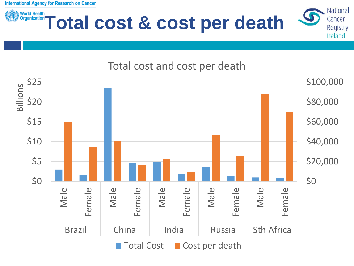# **Morld Health**<br>**Total cost & cost per death**

**National** Cancer Registry Ireland



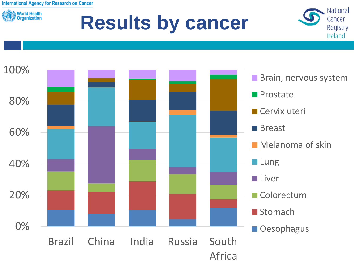

### **Results by cancer**



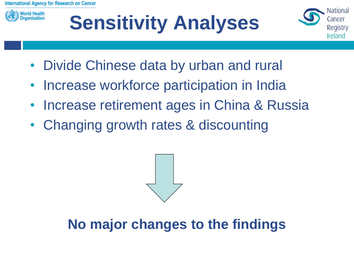





- Divide Chinese data by urban and rural
- Increase workforce participation in India
- Increase retirement ages in China & Russia
- Changing growth rates & discounting



### **No major changes to the findings**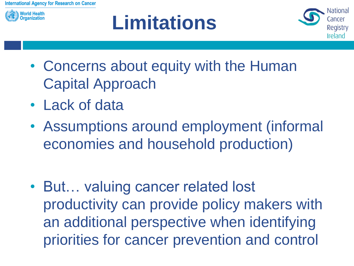

## **Limitations**



- Concerns about equity with the Human Capital Approach
- Lack of data
- Assumptions around employment (informal economies and household production)
- But... valuing cancer related lost productivity can provide policy makers with an additional perspective when identifying priorities for cancer prevention and control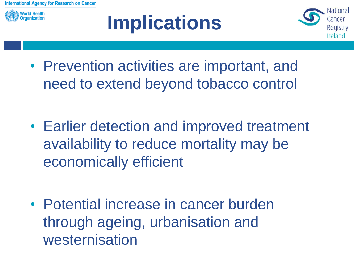

## **Implications**



- Prevention activities are important, and need to extend beyond tobacco control
- Earlier detection and improved treatment availability to reduce mortality may be economically efficient

• Potential increase in cancer burden through ageing, urbanisation and westernisation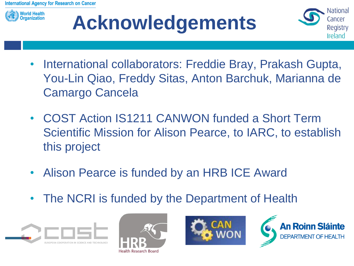

## **Acknowledgements**



- International collaborators: Freddie Bray, Prakash Gupta, You-Lin Qiao, Freddy Sitas, Anton Barchuk, Marianna de Camargo Cancela
- COST Action IS1211 CANWON funded a Short Term Scientific Mission for Alison Pearce, to IARC, to establish this project
- Alison Pearce is funded by an HRB ICE Award
- The NCRI is funded by the Department of Health